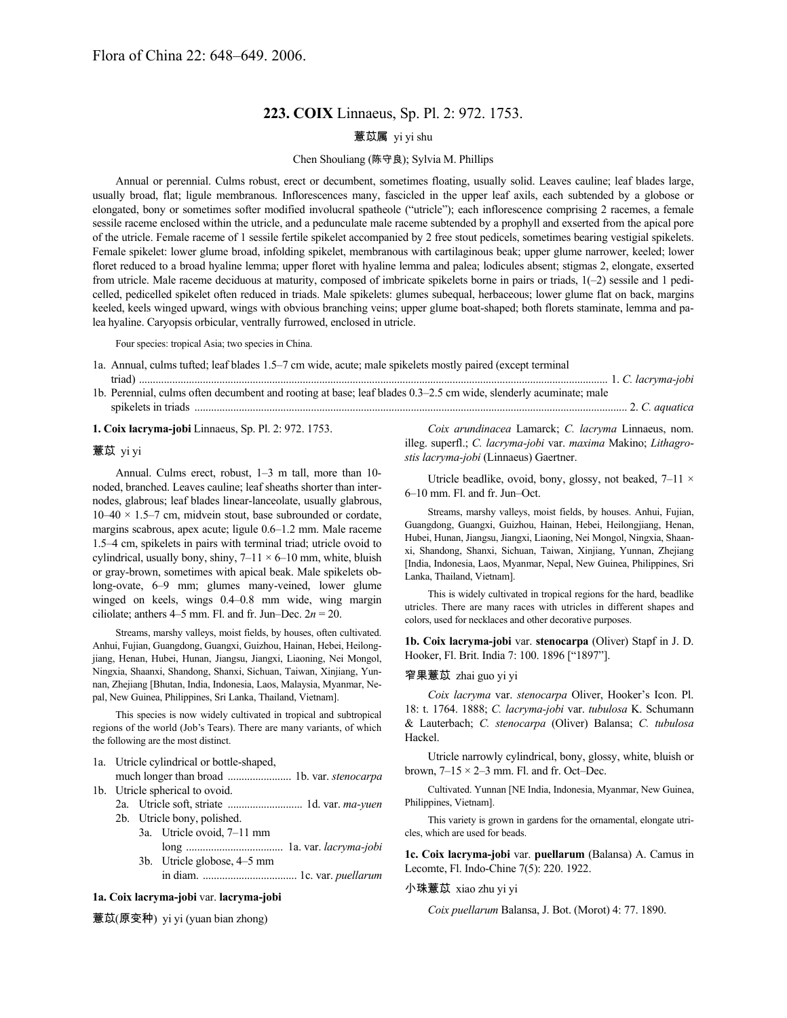# **223. COIX** Linnaeus, Sp. Pl. 2: 972. 1753.

# 薏苡属 yi yi shu

### Chen Shouliang (陈守良); Sylvia M. Phillips

Annual or perennial. Culms robust, erect or decumbent, sometimes floating, usually solid. Leaves cauline; leaf blades large, usually broad, flat; ligule membranous. Inflorescences many, fascicled in the upper leaf axils, each subtended by a globose or elongated, bony or sometimes softer modified involucral spatheole ("utricle"); each inflorescence comprising 2 racemes, a female sessile raceme enclosed within the utricle, and a pedunculate male raceme subtended by a prophyll and exserted from the apical pore of the utricle. Female raceme of 1 sessile fertile spikelet accompanied by 2 free stout pedicels, sometimes bearing vestigial spikelets. Female spikelet: lower glume broad, infolding spikelet, membranous with cartilaginous beak; upper glume narrower, keeled; lower floret reduced to a broad hyaline lemma; upper floret with hyaline lemma and palea; lodicules absent; stigmas 2, elongate, exserted from utricle. Male raceme deciduous at maturity, composed of imbricate spikelets borne in pairs or triads, 1(–2) sessile and 1 pedicelled, pedicelled spikelet often reduced in triads. Male spikelets: glumes subequal, herbaceous; lower glume flat on back, margins keeled, keels winged upward, wings with obvious branching veins; upper glume boat-shaped; both florets staminate, lemma and palea hyaline. Caryopsis orbicular, ventrally furrowed, enclosed in utricle.

Four species: tropical Asia; two species in China.

- 1a. Annual, culms tufted; leaf blades 1.5–7 cm wide, acute; male spikelets mostly paired (except terminal triad) ......................................................................................................................................................................... 1. *C. lacryma-jobi* 1b. Perennial, culms often decumbent and rooting at base; leaf blades 0.3–2.5 cm wide, slenderly acuminate; male
- spikelets in triads ............................................................................................................................................................ 2. *C. aquatica*

**1. Coix lacryma-jobi** Linnaeus, Sp. Pl. 2: 972. 1753.

#### 薏苡 yi yi

Annual. Culms erect, robust, 1–3 m tall, more than 10 noded, branched. Leaves cauline; leaf sheaths shorter than internodes, glabrous; leaf blades linear-lanceolate, usually glabrous,  $10-40 \times 1.5-7$  cm, midvein stout, base subrounded or cordate, margins scabrous, apex acute; ligule 0.6–1.2 mm. Male raceme 1.5–4 cm, spikelets in pairs with terminal triad; utricle ovoid to cylindrical, usually bony, shiny,  $7-11 \times 6-10$  mm, white, bluish or gray-brown, sometimes with apical beak. Male spikelets oblong-ovate, 6–9 mm; glumes many-veined, lower glume winged on keels, wings 0.4–0.8 mm wide, wing margin ciliolate; anthers  $4-5$  mm. Fl. and fr. Jun–Dec.  $2n = 20$ .

Streams, marshy valleys, moist fields, by houses, often cultivated. Anhui, Fujian, Guangdong, Guangxi, Guizhou, Hainan, Hebei, Heilongjiang, Henan, Hubei, Hunan, Jiangsu, Jiangxi, Liaoning, Nei Mongol, Ningxia, Shaanxi, Shandong, Shanxi, Sichuan, Taiwan, Xinjiang, Yunnan, Zhejiang [Bhutan, India, Indonesia, Laos, Malaysia, Myanmar, Nepal, New Guinea, Philippines, Sri Lanka, Thailand, Vietnam].

This species is now widely cultivated in tropical and subtropical regions of the world (Job's Tears). There are many variants, of which the following are the most distinct.

- 1a. Utricle cylindrical or bottle-shaped,
- much longer than broad ....................... 1b. var. *stenocarpa* 1b. Utricle spherical to ovoid.
	- 2a. Utricle soft, striate ........................... 1d. var. *ma-yuen*
	- 2b. Utricle bony, polished.
		- 3a. Utricle ovoid, 7–11 mm
			- long ................................... 1a. var. *lacryma-jobi* 3b. Utricle globose, 4–5 mm
			- in diam. .................................. 1c. var. *puellarum*

# **1a. Coix lacryma-jobi** var. **lacryma-jobi**

薏苡(原变种) yi yi (yuan bian zhong)

*Coix arundinacea* Lamarck; *C. lacryma* Linnaeus, nom. illeg. superfl.; *C. lacryma-jobi* var. *maxima* Makino; *Lithagrostis lacryma-jobi* (Linnaeus) Gaertner.

Utricle beadlike, ovoid, bony, glossy, not beaked,  $7-11 \times$ 6–10 mm. Fl. and fr. Jun–Oct.

Streams, marshy valleys, moist fields, by houses. Anhui, Fujian, Guangdong, Guangxi, Guizhou, Hainan, Hebei, Heilongjiang, Henan, Hubei, Hunan, Jiangsu, Jiangxi, Liaoning, Nei Mongol, Ningxia, Shaanxi, Shandong, Shanxi, Sichuan, Taiwan, Xinjiang, Yunnan, Zhejiang [India, Indonesia, Laos, Myanmar, Nepal, New Guinea, Philippines, Sri Lanka, Thailand, Vietnam].

This is widely cultivated in tropical regions for the hard, beadlike utricles. There are many races with utricles in different shapes and colors, used for necklaces and other decorative purposes.

**1b. Coix lacryma-jobi** var. **stenocarpa** (Oliver) Stapf in J. D. Hooker, Fl. Brit. India 7: 100. 1896 ["1897"].

## 窄果薏苡 zhai guo yi yi

*Coix lacryma* var. *stenocarpa* Oliver, Hooker's Icon. Pl. 18: t. 1764. 1888; *C. lacryma-jobi* var. *tubulosa* K. Schumann & Lauterbach; *C. stenocarpa* (Oliver) Balansa; *C. tubulosa* Hackel.

Utricle narrowly cylindrical, bony, glossy, white, bluish or brown,  $7-15 \times 2-3$  mm. Fl. and fr. Oct–Dec.

Cultivated. Yunnan [NE India, Indonesia, Myanmar, New Guinea, Philippines, Vietnam].

This variety is grown in gardens for the ornamental, elongate utricles, which are used for beads.

**1c. Coix lacryma-jobi** var. **puellarum** (Balansa) A. Camus in Lecomte, Fl. Indo-Chine 7(5): 220. 1922.

## 小珠薏苡 xiao zhu yi yi

*Coix puellarum* Balansa, J. Bot. (Morot) 4: 77. 1890.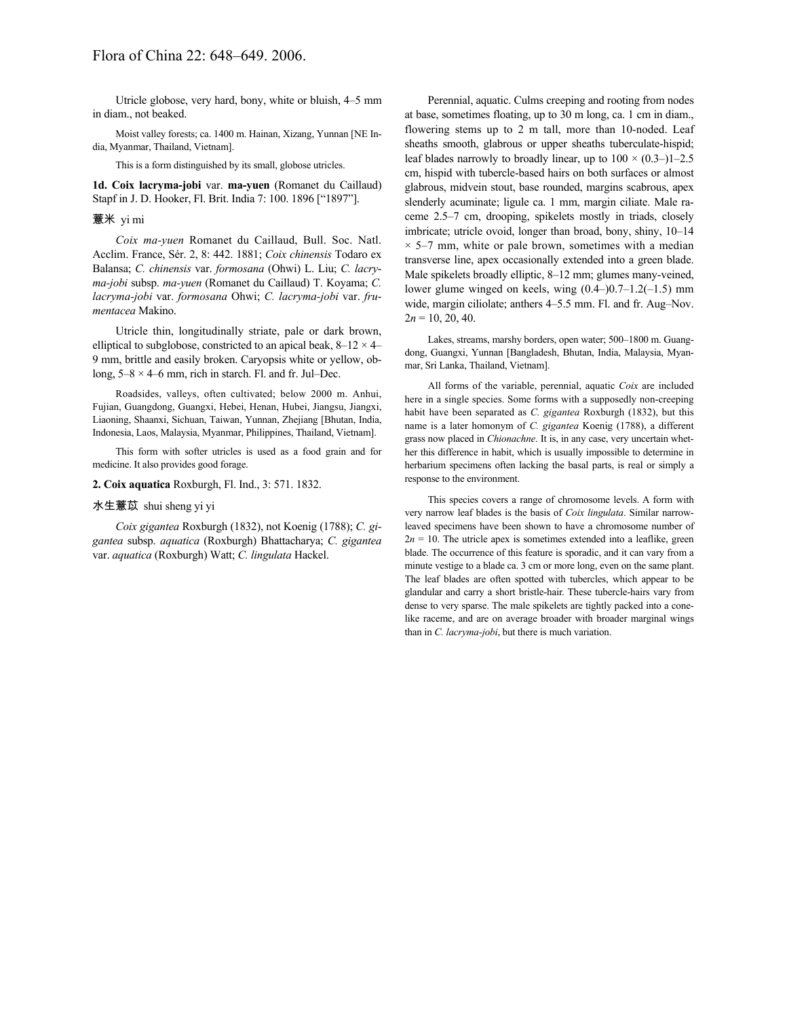Utricle globose, very hard, bony, white or bluish, 4–5 mm in diam., not beaked.

Moist valley forests; ca. 1400 m. Hainan, Xizang, Yunnan [NE India, Myanmar, Thailand, Vietnam].

This is a form distinguished by its small, globose utricles.

**1d. Coix lacryma-jobi** var. **ma-yuen** (Romanet du Caillaud) Stapf in J. D. Hooker, Fl. Brit. India 7: 100. 1896 ["1897"].

#### 薏米 yi mi

*Coix ma-yuen* Romanet du Caillaud, Bull. Soc. Natl. Acclim. France, Sér. 2, 8: 442. 1881; *Coix chinensis* Todaro ex Balansa; *C. chinensis* var. *formosana* (Ohwi) L. Liu; *C. lacryma-jobi* subsp. *ma-yuen* (Romanet du Caillaud) T. Koyama; *C. lacryma-jobi* var. *formosana* Ohwi; *C. lacryma-jobi* var. *frumentacea* Makino.

Utricle thin, longitudinally striate, pale or dark brown, elliptical to subglobose, constricted to an apical beak,  $8-12 \times 4-$ 9 mm, brittle and easily broken. Caryopsis white or yellow, oblong,  $5-8 \times 4-6$  mm, rich in starch. Fl. and fr. Jul–Dec.

Roadsides, valleys, often cultivated; below 2000 m. Anhui, Fujian, Guangdong, Guangxi, Hebei, Henan, Hubei, Jiangsu, Jiangxi, Liaoning, Shaanxi, Sichuan, Taiwan, Yunnan, Zhejiang [Bhutan, India, Indonesia, Laos, Malaysia, Myanmar, Philippines, Thailand, Vietnam].

This form with softer utricles is used as a food grain and for medicine. It also provides good forage.

#### **2. Coix aquatica** Roxburgh, Fl. Ind., 3: 571. 1832.

#### 水生薏苡 shui sheng yi yi

*Coix gigantea* Roxburgh (1832), not Koenig (1788); *C. gigantea* subsp. *aquatica* (Roxburgh) Bhattacharya; *C. gigantea* var. *aquatica* (Roxburgh) Watt; *C. lingulata* Hackel.

Perennial, aquatic. Culms creeping and rooting from nodes at base, sometimes floating, up to 30 m long, ca. 1 cm in diam., flowering stems up to 2 m tall, more than 10-noded. Leaf sheaths smooth, glabrous or upper sheaths tuberculate-hispid; leaf blades narrowly to broadly linear, up to  $100 \times (0.3-11-2.5)$ cm, hispid with tubercle-based hairs on both surfaces or almost glabrous, midvein stout, base rounded, margins scabrous, apex slenderly acuminate; ligule ca. 1 mm, margin ciliate. Male raceme 2.5–7 cm, drooping, spikelets mostly in triads, closely imbricate; utricle ovoid, longer than broad, bony, shiny, 10–14  $\times$  5–7 mm, white or pale brown, sometimes with a median transverse line, apex occasionally extended into a green blade. Male spikelets broadly elliptic, 8–12 mm; glumes many-veined, lower glume winged on keels, wing (0.4–)0.7–1.2(–1.5) mm wide, margin ciliolate; anthers 4–5.5 mm. Fl. and fr. Aug–Nov.  $2n = 10, 20, 40$ .

Lakes, streams, marshy borders, open water; 500–1800 m. Guangdong, Guangxi, Yunnan [Bangladesh, Bhutan, India, Malaysia, Myanmar, Sri Lanka, Thailand, Vietnam].

All forms of the variable, perennial, aquatic *Coix* are included here in a single species. Some forms with a supposedly non-creeping habit have been separated as *C. gigantea* Roxburgh (1832), but this name is a later homonym of *C. gigantea* Koenig (1788), a different grass now placed in *Chionachne*. It is, in any case, very uncertain whether this difference in habit, which is usually impossible to determine in herbarium specimens often lacking the basal parts, is real or simply a response to the environment.

This species covers a range of chromosome levels. A form with very narrow leaf blades is the basis of *Coix lingulata*. Similar narrowleaved specimens have been shown to have a chromosome number of  $2n = 10$ . The utricle apex is sometimes extended into a leaflike, green blade. The occurrence of this feature is sporadic, and it can vary from a minute vestige to a blade ca. 3 cm or more long, even on the same plant. The leaf blades are often spotted with tubercles, which appear to be glandular and carry a short bristle-hair. These tubercle-hairs vary from dense to very sparse. The male spikelets are tightly packed into a conelike raceme, and are on average broader with broader marginal wings than in *C. lacryma-jobi*, but there is much variation.